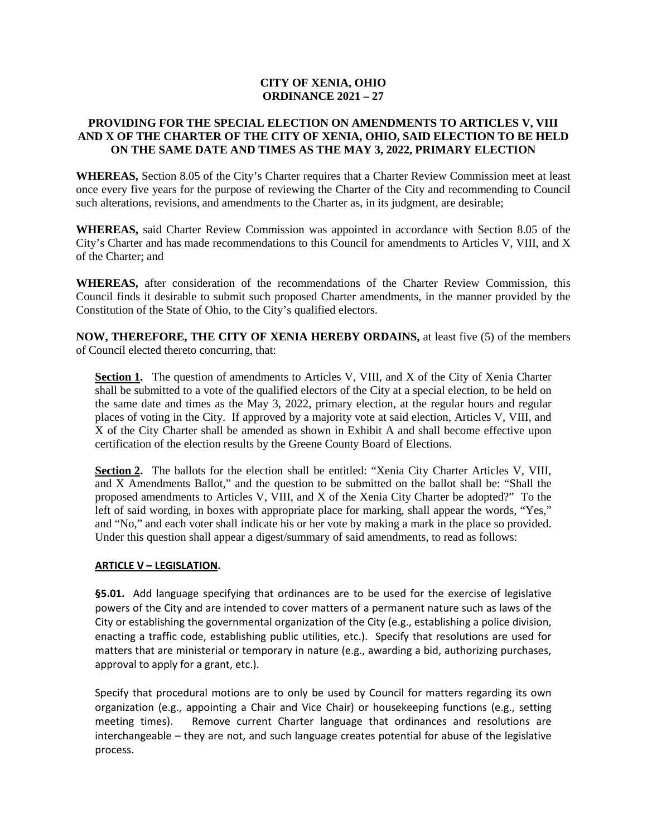## **CITY OF XENIA, OHIO ORDINANCE 2021 – 27**

#### **PROVIDING FOR THE SPECIAL ELECTION ON AMENDMENTS TO ARTICLES V, VIII AND X OF THE CHARTER OF THE CITY OF XENIA, OHIO, SAID ELECTION TO BE HELD ON THE SAME DATE AND TIMES AS THE MAY 3, 2022, PRIMARY ELECTION**

**WHEREAS,** Section 8.05 of the City's Charter requires that a Charter Review Commission meet at least once every five years for the purpose of reviewing the Charter of the City and recommending to Council such alterations, revisions, and amendments to the Charter as, in its judgment, are desirable;

**WHEREAS,** said Charter Review Commission was appointed in accordance with Section 8.05 of the City's Charter and has made recommendations to this Council for amendments to Articles V, VIII, and X of the Charter; and

**WHEREAS,** after consideration of the recommendations of the Charter Review Commission, this Council finds it desirable to submit such proposed Charter amendments, in the manner provided by the Constitution of the State of Ohio, to the City's qualified electors.

**NOW, THEREFORE, THE CITY OF XENIA HEREBY ORDAINS,** at least five (5) of the members of Council elected thereto concurring, that:

**Section 1.** The question of amendments to Articles V, VIII, and X of the City of Xenia Charter shall be submitted to a vote of the qualified electors of the City at a special election, to be held on the same date and times as the May 3, 2022, primary election, at the regular hours and regular places of voting in the City. If approved by a majority vote at said election, Articles V, VIII, and X of the City Charter shall be amended as shown in Exhibit A and shall become effective upon certification of the election results by the Greene County Board of Elections.

Section 2. The ballots for the election shall be entitled: "Xenia City Charter Articles V, VIII, and X Amendments Ballot," and the question to be submitted on the ballot shall be: "Shall the proposed amendments to Articles V, VIII, and X of the Xenia City Charter be adopted?" To the left of said wording, in boxes with appropriate place for marking, shall appear the words, "Yes," and "No," and each voter shall indicate his or her vote by making a mark in the place so provided. Under this question shall appear a digest/summary of said amendments, to read as follows:

## **ARTICLE V – LEGISLATION.**

**§5.01.** Add language specifying that ordinances are to be used for the exercise of legislative powers of the City and are intended to cover matters of a permanent nature such as laws of the City or establishing the governmental organization of the City (e.g., establishing a police division, enacting a traffic code, establishing public utilities, etc.). Specify that resolutions are used for matters that are ministerial or temporary in nature (e.g., awarding a bid, authorizing purchases, approval to apply for a grant, etc.).

Specify that procedural motions are to only be used by Council for matters regarding its own organization (e.g., appointing a Chair and Vice Chair) or housekeeping functions (e.g., setting meeting times). Remove current Charter language that ordinances and resolutions are interchangeable – they are not, and such language creates potential for abuse of the legislative process.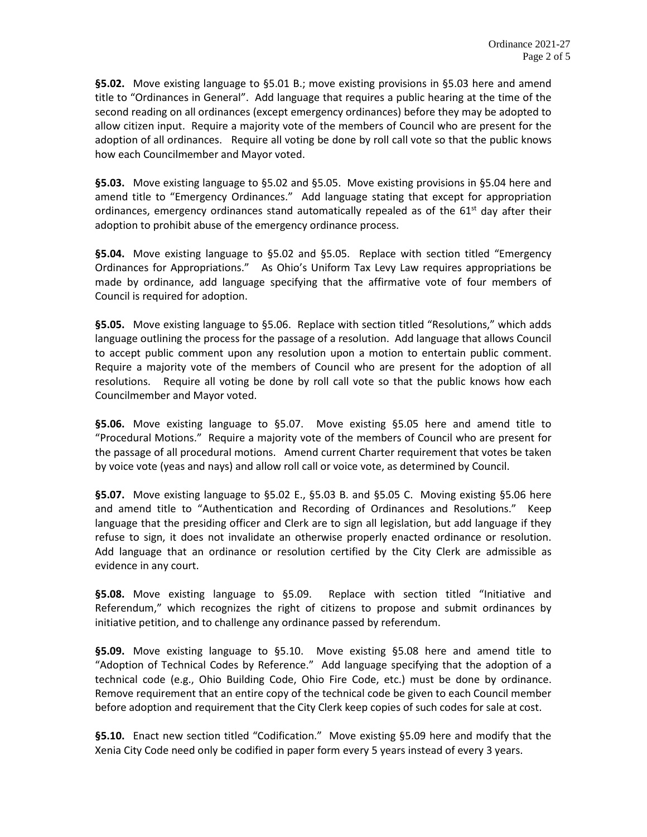**§5.02.** Move existing language to §5.01 B.; move existing provisions in §5.03 here and amend title to "Ordinances in General". Add language that requires a public hearing at the time of the second reading on all ordinances (except emergency ordinances) before they may be adopted to allow citizen input. Require a majority vote of the members of Council who are present for the adoption of all ordinances. Require all voting be done by roll call vote so that the public knows how each Councilmember and Mayor voted.

**§5.03.** Move existing language to §5.02 and §5.05. Move existing provisions in §5.04 here and amend title to "Emergency Ordinances." Add language stating that except for appropriation ordinances, emergency ordinances stand automatically repealed as of the  $61<sup>st</sup>$  day after their adoption to prohibit abuse of the emergency ordinance process.

**§5.04.** Move existing language to §5.02 and §5.05. Replace with section titled "Emergency Ordinances for Appropriations." As Ohio's Uniform Tax Levy Law requires appropriations be made by ordinance, add language specifying that the affirmative vote of four members of Council is required for adoption.

**§5.05.** Move existing language to §5.06. Replace with section titled "Resolutions," which adds language outlining the process for the passage of a resolution. Add language that allows Council to accept public comment upon any resolution upon a motion to entertain public comment. Require a majority vote of the members of Council who are present for the adoption of all resolutions. Require all voting be done by roll call vote so that the public knows how each Councilmember and Mayor voted.

**§5.06.** Move existing language to §5.07. Move existing §5.05 here and amend title to "Procedural Motions." Require a majority vote of the members of Council who are present for the passage of all procedural motions. Amend current Charter requirement that votes be taken by voice vote (yeas and nays) and allow roll call or voice vote, as determined by Council.

**§5.07.** Move existing language to §5.02 E., §5.03 B. and §5.05 C. Moving existing §5.06 here and amend title to "Authentication and Recording of Ordinances and Resolutions." Keep language that the presiding officer and Clerk are to sign all legislation, but add language if they refuse to sign, it does not invalidate an otherwise properly enacted ordinance or resolution. Add language that an ordinance or resolution certified by the City Clerk are admissible as evidence in any court.

**§5.08.** Move existing language to §5.09. Replace with section titled "Initiative and Referendum," which recognizes the right of citizens to propose and submit ordinances by initiative petition, and to challenge any ordinance passed by referendum.

**§5.09.** Move existing language to §5.10. Move existing §5.08 here and amend title to "Adoption of Technical Codes by Reference." Add language specifying that the adoption of a technical code (e.g., Ohio Building Code, Ohio Fire Code, etc.) must be done by ordinance. Remove requirement that an entire copy of the technical code be given to each Council member before adoption and requirement that the City Clerk keep copies of such codes for sale at cost.

**§5.10.** Enact new section titled "Codification." Move existing §5.09 here and modify that the Xenia City Code need only be codified in paper form every 5 years instead of every 3 years.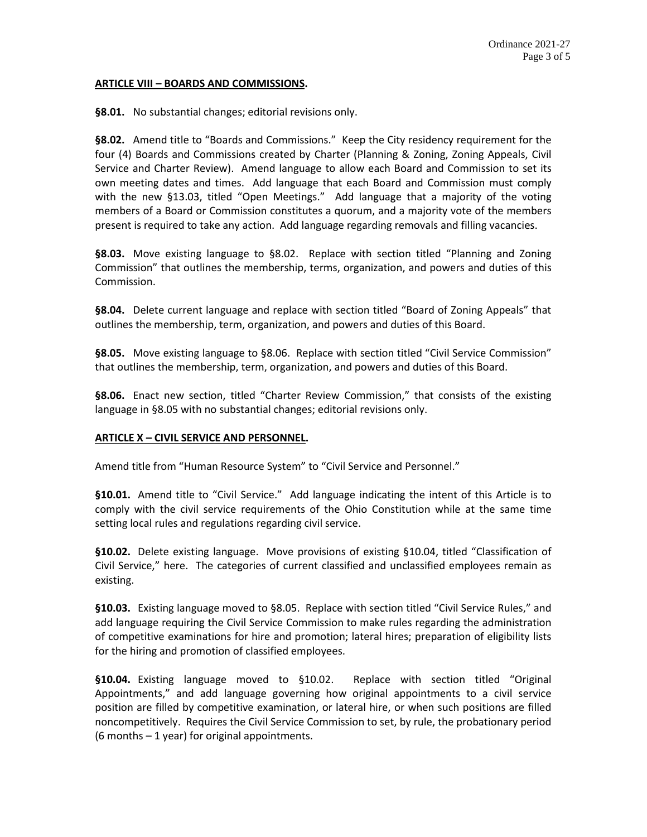#### **ARTICLE VIII – BOARDS AND COMMISSIONS.**

**§8.01.** No substantial changes; editorial revisions only.

**§8.02.** Amend title to "Boards and Commissions." Keep the City residency requirement for the four (4) Boards and Commissions created by Charter (Planning & Zoning, Zoning Appeals, Civil Service and Charter Review). Amend language to allow each Board and Commission to set its own meeting dates and times. Add language that each Board and Commission must comply with the new §13.03, titled "Open Meetings." Add language that a majority of the voting members of a Board or Commission constitutes a quorum, and a majority vote of the members present is required to take any action. Add language regarding removals and filling vacancies.

**§8.03.** Move existing language to §8.02. Replace with section titled "Planning and Zoning Commission" that outlines the membership, terms, organization, and powers and duties of this Commission.

**§8.04.** Delete current language and replace with section titled "Board of Zoning Appeals" that outlines the membership, term, organization, and powers and duties of this Board.

**§8.05.** Move existing language to §8.06. Replace with section titled "Civil Service Commission" that outlines the membership, term, organization, and powers and duties of this Board.

**§8.06.** Enact new section, titled "Charter Review Commission," that consists of the existing language in §8.05 with no substantial changes; editorial revisions only.

#### **ARTICLE X – CIVIL SERVICE AND PERSONNEL.**

Amend title from "Human Resource System" to "Civil Service and Personnel."

**§10.01.** Amend title to "Civil Service." Add language indicating the intent of this Article is to comply with the civil service requirements of the Ohio Constitution while at the same time setting local rules and regulations regarding civil service.

**§10.02.** Delete existing language. Move provisions of existing §10.04, titled "Classification of Civil Service," here. The categories of current classified and unclassified employees remain as existing.

**§10.03.** Existing language moved to §8.05. Replace with section titled "Civil Service Rules," and add language requiring the Civil Service Commission to make rules regarding the administration of competitive examinations for hire and promotion; lateral hires; preparation of eligibility lists for the hiring and promotion of classified employees.

**§10.04.** Existing language moved to §10.02. Replace with section titled "Original Appointments," and add language governing how original appointments to a civil service position are filled by competitive examination, or lateral hire, or when such positions are filled noncompetitively. Requires the Civil Service Commission to set, by rule, the probationary period (6 months – 1 year) for original appointments.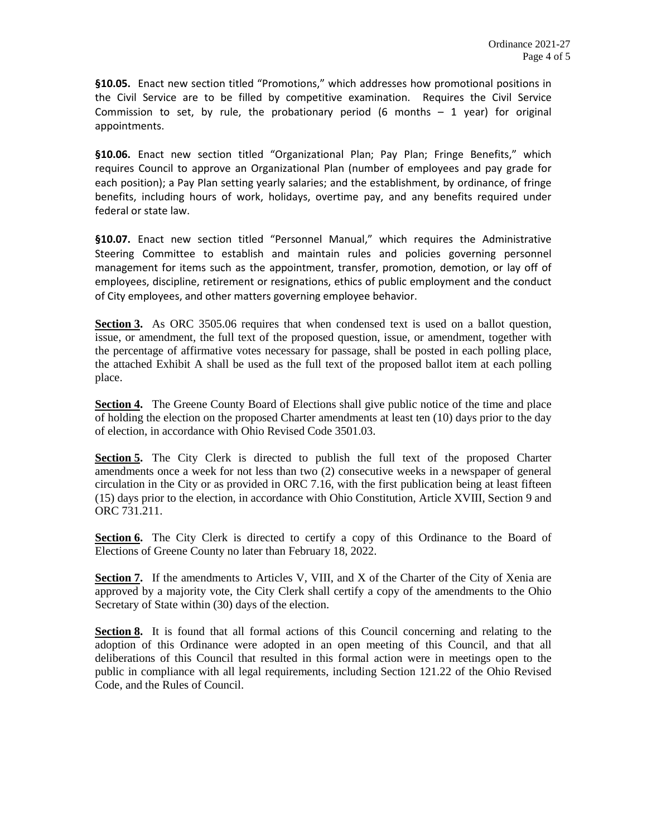**§10.05.** Enact new section titled "Promotions," which addresses how promotional positions in the Civil Service are to be filled by competitive examination. Requires the Civil Service Commission to set, by rule, the probationary period (6 months – 1 year) for original appointments.

**§10.06.** Enact new section titled "Organizational Plan; Pay Plan; Fringe Benefits," which requires Council to approve an Organizational Plan (number of employees and pay grade for each position); a Pay Plan setting yearly salaries; and the establishment, by ordinance, of fringe benefits, including hours of work, holidays, overtime pay, and any benefits required under federal or state law.

§10.07. Enact new section titled "Personnel Manual," which requires the Administrative Steering Committee to establish and maintain rules and policies governing personnel management for items such as the appointment, transfer, promotion, demotion, or lay off of employees, discipline, retirement or resignations, ethics of public employment and the conduct of City employees, and other matters governing employee behavior.

**Section 3.** As ORC 3505.06 requires that when condensed text is used on a ballot question, issue, or amendment, the full text of the proposed question, issue, or amendment, together with the percentage of affirmative votes necessary for passage, shall be posted in each polling place, the attached Exhibit A shall be used as the full text of the proposed ballot item at each polling place.

**Section 4.** The Greene County Board of Elections shall give public notice of the time and place of holding the election on the proposed Charter amendments at least ten (10) days prior to the day of election, in accordance with Ohio Revised Code 3501.03.

**Section 5.** The City Clerk is directed to publish the full text of the proposed Charter amendments once a week for not less than two (2) consecutive weeks in a newspaper of general circulation in the City or as provided in ORC 7.16, with the first publication being at least fifteen (15) days prior to the election, in accordance with Ohio Constitution, Article XVIII, Section 9 and ORC 731.211.

Section 6. The City Clerk is directed to certify a copy of this Ordinance to the Board of Elections of Greene County no later than February 18, 2022.

**Section 7.** If the amendments to Articles V, VIII, and X of the Charter of the City of Xenia are approved by a majority vote, the City Clerk shall certify a copy of the amendments to the Ohio Secretary of State within (30) days of the election.

**Section 8.** It is found that all formal actions of this Council concerning and relating to the adoption of this Ordinance were adopted in an open meeting of this Council, and that all deliberations of this Council that resulted in this formal action were in meetings open to the public in compliance with all legal requirements, including Section 121.22 of the Ohio Revised Code, and the Rules of Council.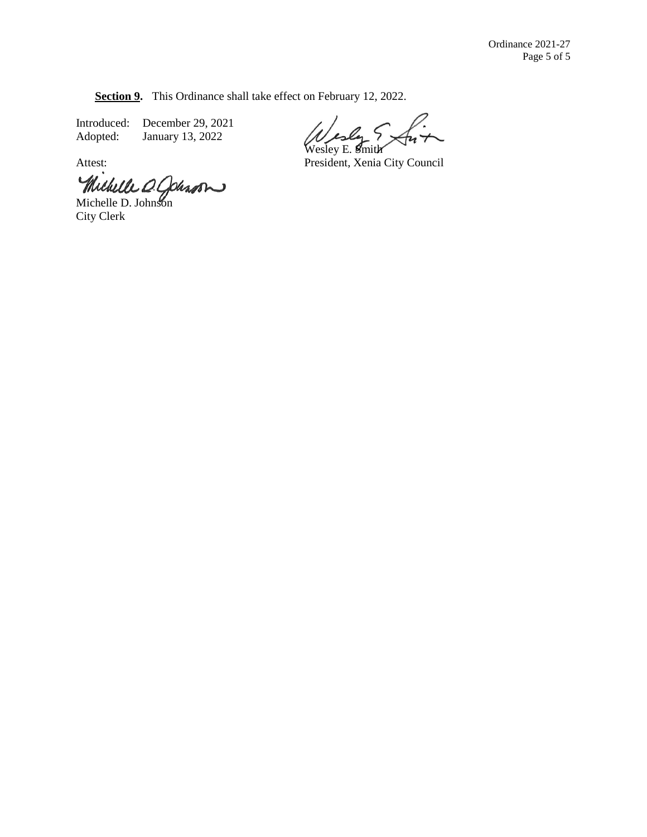**Section 9.** This Ordinance shall take effect on February 12, 2022.

Introduced: December 29, 2021<br>Adopted: January 13, 2022 January 13, 2022

Wesley E. Smith

Attest: President, Xenia City Council

Michelle D. Colesson

City Clerk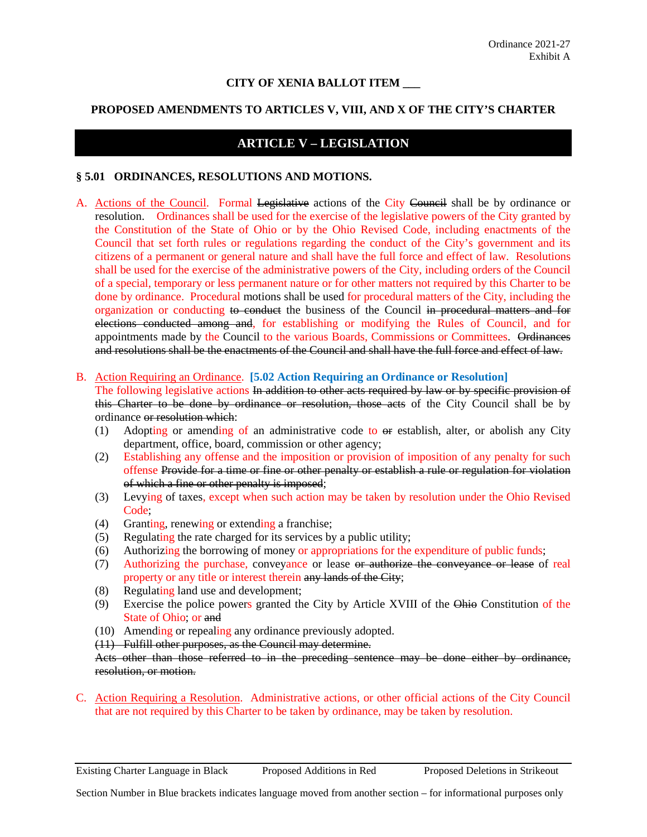#### **CITY OF XENIA BALLOT ITEM \_\_\_**

#### **PROPOSED AMENDMENTS TO ARTICLES V, VIII, AND X OF THE CITY'S CHARTER**

# **ARTICLE V – LEGISLATION**

#### **§ 5.01 ORDINANCES, RESOLUTIONS AND MOTIONS.**

A. Actions of the Council. Formal Legislative actions of the City Council shall be by ordinance or resolution. Ordinances shall be used for the exercise of the legislative powers of the City granted by the Constitution of the State of Ohio or by the Ohio Revised Code, including enactments of the Council that set forth rules or regulations regarding the conduct of the City's government and its citizens of a permanent or general nature and shall have the full force and effect of law. Resolutions shall be used for the exercise of the administrative powers of the City, including orders of the Council of a special, temporary or less permanent nature or for other matters not required by this Charter to be done by ordinance. Procedural motions shall be used for procedural matters of the City, including the organization or conducting to conduct the business of the Council in procedural matters and for elections conducted among and, for establishing or modifying the Rules of Council, and for appointments made by the Council to the various Boards, Commissions or Committees. Ordinances and resolutions shall be the enactments of the Council and shall have the full force and effect of law.

#### B. Action Requiring an Ordinance. **[5.02 Action Requiring an Ordinance or Resolution]**

The following legislative actions In addition to other acts required by law or by specific provision of this Charter to be done by ordinance or resolution, those acts of the City Council shall be by ordinance or resolution which:

- (1) Adopting or amending of an administrative code to or establish, alter, or abolish any City department, office, board, commission or other agency;
- (2) Establishing any offense and the imposition or provision of imposition of any penalty for such offense Provide for a time or fine or other penalty or establish a rule or regulation for violation of which a fine or other penalty is imposed;
- (3) Levying of taxes, except when such action may be taken by resolution under the Ohio Revised Code;
- (4) Granting, renewing or extending a franchise;
- (5) Regulating the rate charged for its services by a public utility;
- (6) Authorizing the borrowing of money or appropriations for the expenditure of public funds;
- (7) Authorizing the purchase, conveyance or lease or authorize the conveyance or lease of real property or any title or interest therein any lands of the City;
- (8) Regulating land use and development;
- (9) Exercise the police powers granted the City by Article XVIII of the Ohio Constitution of the State of Ohio; or and
- (10) Amending or repealing any ordinance previously adopted.
- (11) Fulfill other purposes, as the Council may determine.

Acts other than those referred to in the preceding sentence may be done either by ordinance, resolution, or motion.

C. Action Requiring a Resolution. Administrative actions, or other official actions of the City Council that are not required by this Charter to be taken by ordinance, may be taken by resolution.

Existing Charter Language in Black Proposed Additions in Red Proposed Deletions in Strikeout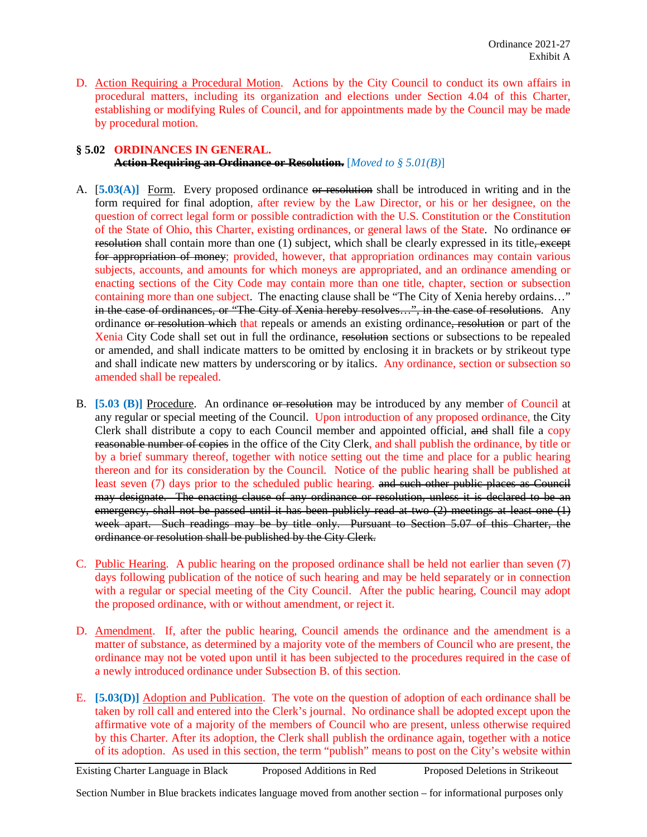D. Action Requiring a Procedural Motion. Actions by the City Council to conduct its own affairs in procedural matters, including its organization and elections under Section 4.04 of this Charter, establishing or modifying Rules of Council, and for appointments made by the Council may be made by procedural motion.

# **§ 5.02 ORDINANCES IN GENERAL. Action Requiring an Ordinance or Resolution.** [*Moved to § 5.01(B)*]

- A. [5.03(A)] Form. Every proposed ordinance or resolution shall be introduced in writing and in the form required for final adoption, after review by the Law Director, or his or her designee, on the question of correct legal form or possible contradiction with the U.S. Constitution or the Constitution of the State of Ohio, this Charter, existing ordinances, or general laws of the State. No ordinance or resolution shall contain more than one (1) subject, which shall be clearly expressed in its title, except for appropriation of money; provided, however, that appropriation ordinances may contain various subjects, accounts, and amounts for which moneys are appropriated, and an ordinance amending or enacting sections of the City Code may contain more than one title, chapter, section or subsection containing more than one subject. The enacting clause shall be "The City of Xenia hereby ordains..." in the case of ordinances, or "The City of Xenia hereby resolves...", in the case of resolutions. Any ordinance or resolution which that repeals or amends an existing ordinance, resolution or part of the Xenia City Code shall set out in full the ordinance, resolution sections or subsections to be repealed or amended, and shall indicate matters to be omitted by enclosing it in brackets or by strikeout type and shall indicate new matters by underscoring or by italics. Any ordinance, section or subsection so amended shall be repealed.
- B. **[5.03 (B)]** Procedure. An ordinance or resolution may be introduced by any member of Council at any regular or special meeting of the Council. Upon introduction of any proposed ordinance, the City Clerk shall distribute a copy to each Council member and appointed official, and shall file a copy reasonable number of copies in the office of the City Clerk, and shall publish the ordinance, by title or by a brief summary thereof, together with notice setting out the time and place for a public hearing thereon and for its consideration by the Council. Notice of the public hearing shall be published at least seven (7) days prior to the scheduled public hearing. and such other public places as Council may designate. The enacting clause of any ordinance or resolution, unless it is declared to be an emergency, shall not be passed until it has been publicly read at two  $(2)$  meetings at least one  $(1)$ week apart. Such readings may be by title only. Pursuant to Section 5.07 of this Charter, the ordinance or resolution shall be published by the City Clerk.
- C. Public Hearing. A public hearing on the proposed ordinance shall be held not earlier than seven (7) days following publication of the notice of such hearing and may be held separately or in connection with a regular or special meeting of the City Council. After the public hearing, Council may adopt the proposed ordinance, with or without amendment, or reject it.
- D. Amendment. If, after the public hearing, Council amends the ordinance and the amendment is a matter of substance, as determined by a majority vote of the members of Council who are present, the ordinance may not be voted upon until it has been subjected to the procedures required in the case of a newly introduced ordinance under Subsection B. of this section.
- E. **[5.03(D)]** Adoption and Publication. The vote on the question of adoption of each ordinance shall be taken by roll call and entered into the Clerk's journal. No ordinance shall be adopted except upon the affirmative vote of a majority of the members of Council who are present, unless otherwise required by this Charter. After its adoption, the Clerk shall publish the ordinance again, together with a notice of its adoption. As used in this section, the term "publish" means to post on the City's website within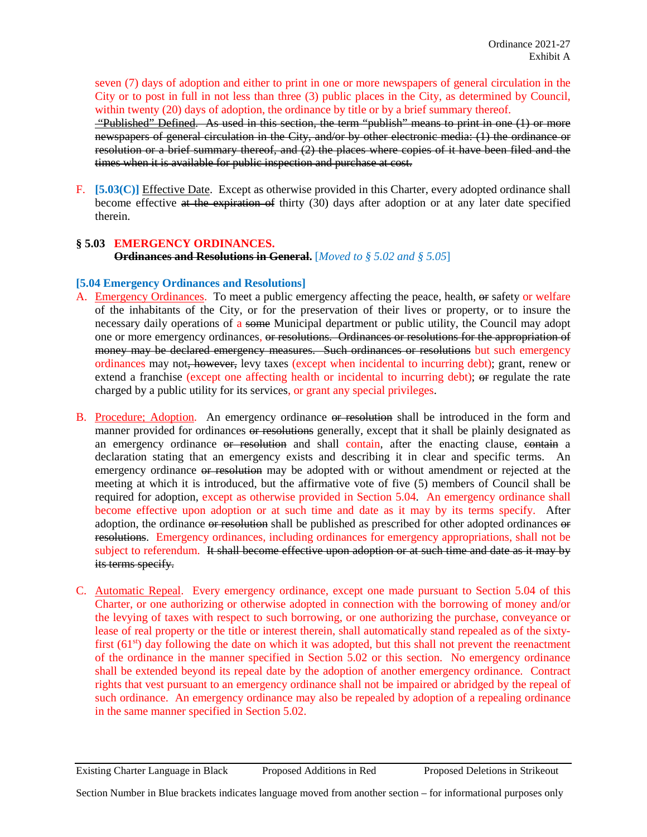seven (7) days of adoption and either to print in one or more newspapers of general circulation in the City or to post in full in not less than three (3) public places in the City, as determined by Council, within twenty (20) days of adoption, the ordinance by title or by a brief summary thereof.

"Published" Defined. As used in this section, the term "publish" means to print in one (1) or more newspapers of general circulation in the City, and/or by other electronic media: (1) the ordinance or resolution or a brief summary thereof, and (2) the places where copies of it have been filed and the times when it is available for public inspection and purchase at cost.

F. **[5.03(C)]** Effective Date. Except as otherwise provided in this Charter, every adopted ordinance shall become effective at the expiration of thirty (30) days after adoption or at any later date specified therein.

## **§ 5.03 EMERGENCY ORDINANCES.**

**Ordinances and Resolutions in General.** [*Moved to § 5.02 and § 5.05*]

## **[5.04 Emergency Ordinances and Resolutions]**

- A. Emergency Ordinances. To meet a public emergency affecting the peace, health, or safety or welfare of the inhabitants of the City, or for the preservation of their lives or property, or to insure the necessary daily operations of a some Municipal department or public utility, the Council may adopt one or more emergency ordinances, or resolutions. Ordinances or resolutions for the appropriation of money may be declared emergency measures. Such ordinances or resolutions but such emergency ordinances may not, however, levy taxes (except when incidental to incurring debt); grant, renew or extend a franchise (except one affecting health or incidental to incurring debt); or regulate the rate charged by a public utility for its services, or grant any special privileges.
- B. Procedure; Adoption. An emergency ordinance or resolution shall be introduced in the form and manner provided for ordinances or resolutions generally, except that it shall be plainly designated as an emergency ordinance or resolution and shall contain, after the enacting clause, contain a declaration stating that an emergency exists and describing it in clear and specific terms. An emergency ordinance or resolution may be adopted with or without amendment or rejected at the meeting at which it is introduced, but the affirmative vote of five (5) members of Council shall be required for adoption, except as otherwise provided in Section 5.04. An emergency ordinance shall become effective upon adoption or at such time and date as it may by its terms specify. After adoption, the ordinance or resolution shall be published as prescribed for other adopted ordinances or resolutions. Emergency ordinances, including ordinances for emergency appropriations, shall not be subject to referendum. It shall become effective upon adoption or at such time and date as it may by its terms specify.
- C. Automatic Repeal. Every emergency ordinance, except one made pursuant to Section 5.04 of this Charter, or one authorizing or otherwise adopted in connection with the borrowing of money and/or the levying of taxes with respect to such borrowing, or one authorizing the purchase, conveyance or lease of real property or the title or interest therein, shall automatically stand repealed as of the sixtyfirst  $(61<sup>st</sup>)$  day following the date on which it was adopted, but this shall not prevent the reenactment of the ordinance in the manner specified in Section 5.02 or this section.No emergency ordinance shall be extended beyond its repeal date by the adoption of another emergency ordinance.Contract rights that vest pursuant to an emergency ordinance shall not be impaired or abridged by the repeal of such ordinance. An emergency ordinance may also be repealed by adoption of a repealing ordinance in the same manner specified in Section 5.02.

#### Existing Charter Language in Black Proposed Additions in Red Proposed Deletions in Strikeout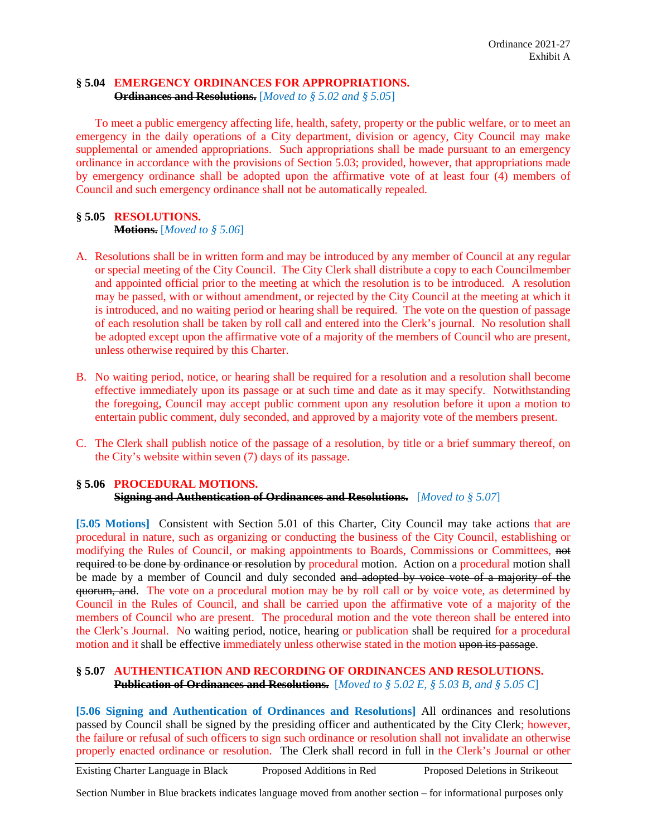# **§ 5.04 EMERGENCY ORDINANCES FOR APPROPRIATIONS.**

**Ordinances and Resolutions.** [*Moved to § 5.02 and § 5.05*]

To meet a public emergency affecting life, health, safety, property or the public welfare, or to meet an emergency in the daily operations of a City department, division or agency, City Council may make supplemental or amended appropriations. Such appropriations shall be made pursuant to an emergency ordinance in accordance with the provisions of Section 5.03; provided, however, that appropriations made by emergency ordinance shall be adopted upon the affirmative vote of at least four (4) members of Council and such emergency ordinance shall not be automatically repealed.

# **§ 5.05 RESOLUTIONS.**

## **Motions.** [*Moved to § 5.06*]

- A. Resolutions shall be in written form and may be introduced by any member of Council at any regular or special meeting of the City Council. The City Clerk shall distribute a copy to each Councilmember and appointed official prior to the meeting at which the resolution is to be introduced. A resolution may be passed, with or without amendment, or rejected by the City Council at the meeting at which it is introduced, and no waiting period or hearing shall be required. The vote on the question of passage of each resolution shall be taken by roll call and entered into the Clerk's journal. No resolution shall be adopted except upon the affirmative vote of a majority of the members of Council who are present, unless otherwise required by this Charter.
- B. No waiting period, notice, or hearing shall be required for a resolution and a resolution shall become effective immediately upon its passage or at such time and date as it may specify. Notwithstanding the foregoing, Council may accept public comment upon any resolution before it upon a motion to entertain public comment, duly seconded, and approved by a majority vote of the members present.
- C. The Clerk shall publish notice of the passage of a resolution, by title or a brief summary thereof, on the City's website within seven (7) days of its passage.

## **§ 5.06 PROCEDURAL MOTIONS. Signing and Authentication of Ordinances and Resolutions.** [*Moved to § 5.07*]

[5.05 Motions] Consistent with Section 5.01 of this Charter, City Council may take actions that are procedural in nature, such as organizing or conducting the business of the City Council, establishing or modifying the Rules of Council, or making appointments to Boards, Commissions or Committees, not required to be done by ordinance or resolution by procedural motion. Action on a procedural motion shall be made by a member of Council and duly seconded and adopted by voice vote of a majority of the quorum, and. The vote on a procedural motion may be by roll call or by voice vote, as determined by Council in the Rules of Council, and shall be carried upon the affirmative vote of a majority of the members of Council who are present. The procedural motion and the vote thereon shall be entered into the Clerk's Journal. No waiting period, notice, hearing or publication shall be required for a procedural motion and it shall be effective immediately unless otherwise stated in the motion upon its passage.

## **§ 5.07 AUTHENTICATION AND RECORDING OF ORDINANCES AND RESOLUTIONS. Publication of Ordinances and Resolutions.** [*Moved to § 5.02 E, § 5.03 B, and § 5.05 C*]

**[5.06 Signing and Authentication of Ordinances and Resolutions]** All ordinances and resolutions passed by Council shall be signed by the presiding officer and authenticated by the City Clerk; however, the failure or refusal of such officers to sign such ordinance or resolution shall not invalidate an otherwise properly enacted ordinance or resolution. The Clerk shall record in full in the Clerk's Journal or other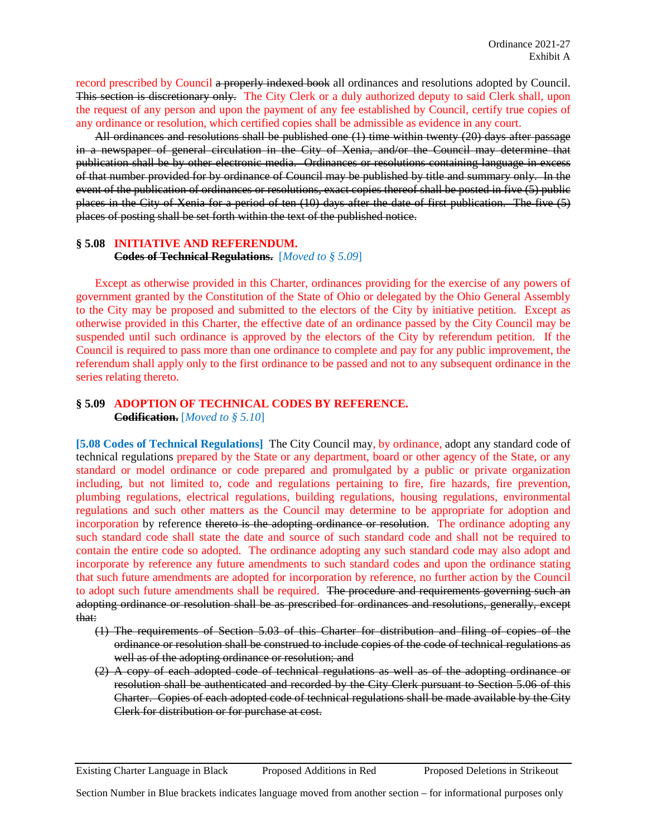record prescribed by Council a properly indexed book all ordinances and resolutions adopted by Council. This section is discretionary only. The City Clerk or a duly authorized deputy to said Clerk shall, upon the request of any person and upon the payment of any fee established by Council, certify true copies of any ordinance or resolution, which certified copies shall be admissible as evidence in any court.

All ordinances and resolutions shall be published one (1) time within twenty (20) days after passage in a newspaper of general circulation in the City of Xenia, and/or the Council may determine that publication shall be by other electronic media. Ordinances or resolutions containing language in excess of that number provided for by ordinance of Council may be published by title and summary only. In the event of the publication of ordinances or resolutions, exact copies thereof shall be posted in five (5) public places in the City of Xenia for a period of ten (10) days after the date of first publication. The five (5) places of posting shall be set forth within the text of the published notice.

#### **§ 5.08 INITIATIVE AND REFERENDUM.**

**Codes of Technical Regulations.** [*Moved to § 5.09*]

Except as otherwise provided in this Charter, ordinances providing for the exercise of any powers of government granted by the Constitution of the State of Ohio or delegated by the Ohio General Assembly to the City may be proposed and submitted to the electors of the City by initiative petition. Except as otherwise provided in this Charter, the effective date of an ordinance passed by the City Council may be suspended until such ordinance is approved by the electors of the City by referendum petition. If the Council is required to pass more than one ordinance to complete and pay for any public improvement, the referendum shall apply only to the first ordinance to be passed and not to any subsequent ordinance in the series relating thereto.

# **§ 5.09 ADOPTION OF TECHNICAL CODES BY REFERENCE.**

**Codification.** [*Moved to § 5.10*]

**[5.08 Codes of Technical Regulations]** The City Council may, by ordinance, adopt any standard code of technical regulations prepared by the State or any department, board or other agency of the State, or any standard or model ordinance or code prepared and promulgated by a public or private organization including, but not limited to, code and regulations pertaining to fire, fire hazards, fire prevention, plumbing regulations, electrical regulations, building regulations, housing regulations, environmental regulations and such other matters as the Council may determine to be appropriate for adoption and incorporation by reference thereto is the adopting ordinance or resolution. The ordinance adopting any such standard code shall state the date and source of such standard code and shall not be required to contain the entire code so adopted. The ordinance adopting any such standard code may also adopt and incorporate by reference any future amendments to such standard codes and upon the ordinance stating that such future amendments are adopted for incorporation by reference, no further action by the Council to adopt such future amendments shall be required. The procedure and requirements governing such an adopting ordinance or resolution shall be as prescribed for ordinances and resolutions, generally, except that:

- (1) The requirements of Section 5.03 of this Charter for distribution and filing of copies of the ordinance or resolution shall be construed to include copies of the code of technical regulations as well as of the adopting ordinance or resolution; and
- (2) A copy of each adopted code of technical regulations as well as of the adopting ordinance or resolution shall be authenticated and recorded by the City Clerk pursuant to Section 5.06 of this Charter. Copies of each adopted code of technical regulations shall be made available by the City Clerk for distribution or for purchase at cost.

Existing Charter Language in Black Proposed Additions in Red Proposed Deletions in Strikeout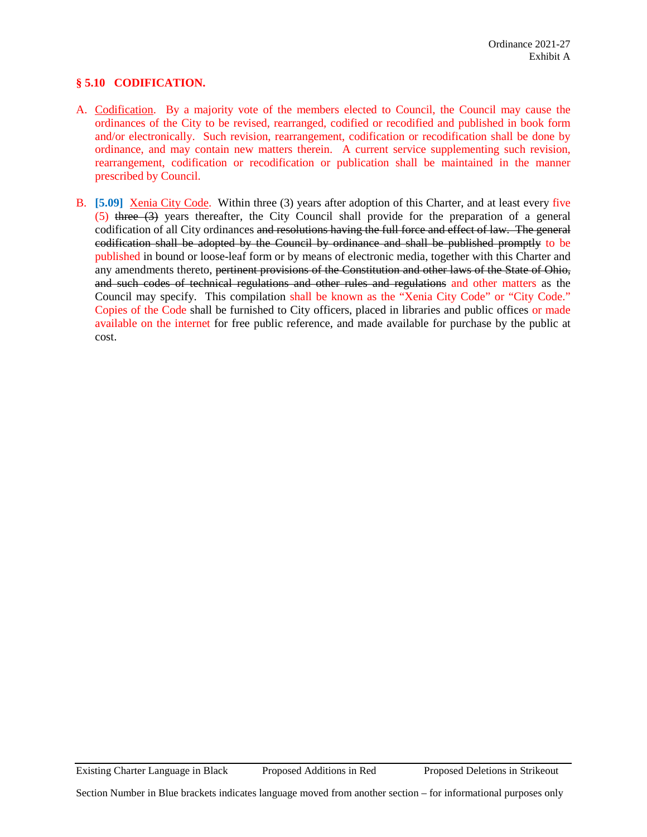## **§ 5.10 CODIFICATION.**

- A. Codification. By a majority vote of the members elected to Council, the Council may cause the ordinances of the City to be revised, rearranged, codified or recodified and published in book form and/or electronically. Such revision, rearrangement, codification or recodification shall be done by ordinance, and may contain new matters therein. A current service supplementing such revision, rearrangement, codification or recodification or publication shall be maintained in the manner prescribed by Council.
- B. **[5.09]** Xenia City Code. Within three (3) years after adoption of this Charter, and at least every five (5) three (3) years thereafter, the City Council shall provide for the preparation of a general codification of all City ordinances and resolutions having the full force and effect of law. The general codification shall be adopted by the Council by ordinance and shall be published promptly to be published in bound or loose-leaf form or by means of electronic media, together with this Charter and any amendments thereto, pertinent provisions of the Constitution and other laws of the State of Ohio, and such codes of technical regulations and other rules and regulations and other matters as the Council may specify. This compilation shall be known as the "Xenia City Code" or "City Code." Copies of the Code shall be furnished to City officers, placed in libraries and public offices or made available on the internet for free public reference, and made available for purchase by the public at cost.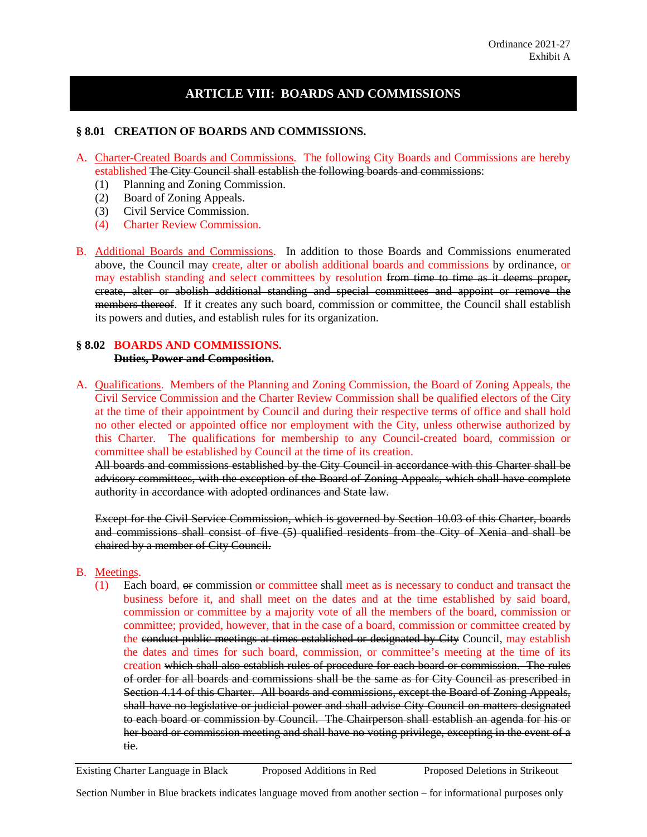# **ARTICLE VIII: BOARDS AND COMMISSIONS**

## **§ 8.01 CREATION OF BOARDS AND COMMISSIONS.**

- A. Charter-Created Boards and Commissions. The following City Boards and Commissions are hereby established The City Council shall establish the following boards and commissions:
	- (1) Planning and Zoning Commission.
	- (2) Board of Zoning Appeals.
	- (3) Civil Service Commission.
	- (4) Charter Review Commission.
- B. Additional Boards and Commissions. In addition to those Boards and Commissions enumerated above, the Council may create, alter or abolish additional boards and commissions by ordinance, or may establish standing and select committees by resolution from time to time as it deems proper, create, alter or abolish additional standing and special committees and appoint or remove the members thereof. If it creates any such board, commission or committee, the Council shall establish its powers and duties, and establish rules for its organization.

#### **§ 8.02 BOARDS AND COMMISSIONS. Duties, Power and Composition.**

A. Qualifications. Members of the Planning and Zoning Commission, the Board of Zoning Appeals, the Civil Service Commission and the Charter Review Commission shall be qualified electors of the City at the time of their appointment by Council and during their respective terms of office and shall hold no other elected or appointed office nor employment with the City, unless otherwise authorized by this Charter. The qualifications for membership to any Council-created board, commission or committee shall be established by Council at the time of its creation.

All boards and commissions established by the City Council in accordance with this Charter shall be advisory committees, with the exception of the Board of Zoning Appeals, which shall have complete authority in accordance with adopted ordinances and State law.

 Except for the Civil Service Commission, which is governed by Section 10.03 of this Charter, boards and commissions shall consist of five (5) qualified residents from the City of Xenia and shall be chaired by a member of City Council.

#### B. Meetings.

(1) Each board, or commission or committee shall meet as is necessary to conduct and transact the business before it, and shall meet on the dates and at the time established by said board, commission or committee by a majority vote of all the members of the board, commission or committee; provided, however, that in the case of a board, commission or committee created by the conduct public meetings at times established or designated by City Council, may establish the dates and times for such board, commission, or committee's meeting at the time of its creation which shall also establish rules of procedure for each board or commission. The rules of order for all boards and commissions shall be the same as for City Council as prescribed in Section 4.14 of this Charter. All boards and commissions, except the Board of Zoning Appeals, shall have no legislative or judicial power and shall advise City Council on matters designated to each board or commission by Council. The Chairperson shall establish an agenda for his or her board or commission meeting and shall have no voting privilege, excepting in the event of a tie.

Existing Charter Language in Black Proposed Additions in Red Proposed Deletions in Strikeout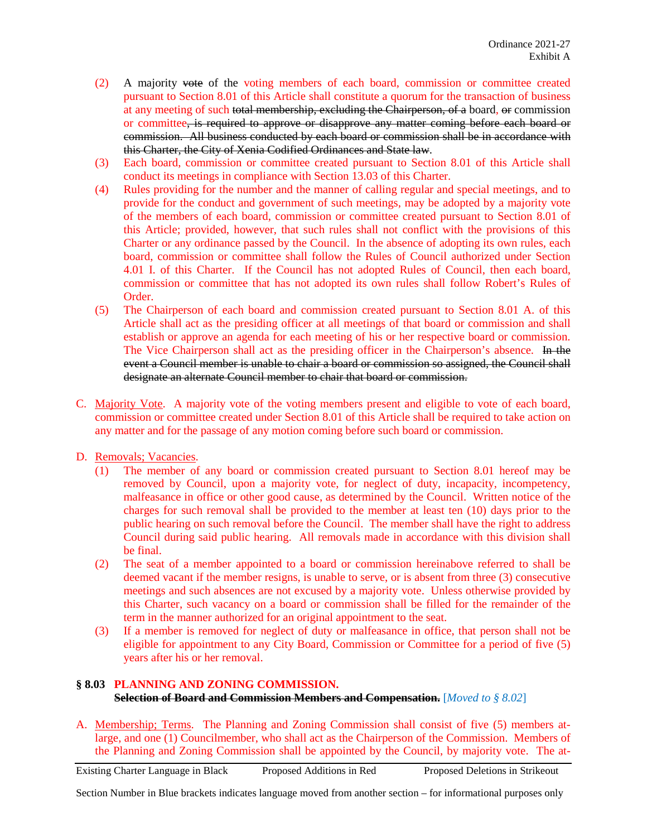- (2) A majority vote of the voting members of each board, commission or committee created pursuant to Section 8.01 of this Article shall constitute a quorum for the transaction of business at any meeting of such total membership, excluding the Chairperson, of a board, or commission or committee, is required to approve or disapprove any matter coming before each board or commission. All business conducted by each board or commission shall be in accordance with this Charter, the City of Xenia Codified Ordinances and State law.
- (3) Each board, commission or committee created pursuant to Section 8.01 of this Article shall conduct its meetings in compliance with Section 13.03 of this Charter.
- (4) Rules providing for the number and the manner of calling regular and special meetings, and to provide for the conduct and government of such meetings, may be adopted by a majority vote of the members of each board, commission or committee created pursuant to Section 8.01 of this Article; provided, however, that such rules shall not conflict with the provisions of this Charter or any ordinance passed by the Council. In the absence of adopting its own rules, each board, commission or committee shall follow the Rules of Council authorized under Section 4.01 I. of this Charter. If the Council has not adopted Rules of Council, then each board, commission or committee that has not adopted its own rules shall follow Robert's Rules of Order.
- (5) The Chairperson of each board and commission created pursuant to Section 8.01 A. of this Article shall act as the presiding officer at all meetings of that board or commission and shall establish or approve an agenda for each meeting of his or her respective board or commission. The Vice Chairperson shall act as the presiding officer in the Chairperson's absence. In the event a Council member is unable to chair a board or commission so assigned, the Council shall designate an alternate Council member to chair that board or commission.
- C. Majority Vote. A majority vote of the voting members present and eligible to vote of each board, commission or committee created under Section 8.01 of this Article shall be required to take action on any matter and for the passage of any motion coming before such board or commission.
- D. Removals; Vacancies.
	- (1) The member of any board or commission created pursuant to Section 8.01 hereof may be removed by Council, upon a majority vote, for neglect of duty, incapacity, incompetency, malfeasance in office or other good cause, as determined by the Council. Written notice of the charges for such removal shall be provided to the member at least ten (10) days prior to the public hearing on such removal before the Council. The member shall have the right to address Council during said public hearing. All removals made in accordance with this division shall be final.
	- (2) The seat of a member appointed to a board or commission hereinabove referred to shall be deemed vacant if the member resigns, is unable to serve, or is absent from three (3) consecutive meetings and such absences are not excused by a majority vote. Unless otherwise provided by this Charter, such vacancy on a board or commission shall be filled for the remainder of the term in the manner authorized for an original appointment to the seat.
	- (3) If a member is removed for neglect of duty or malfeasance in office, that person shall not be eligible for appointment to any City Board, Commission or Committee for a period of five (5) years after his or her removal.

## **§ 8.03 PLANNING AND ZONING COMMISSION. Selection of Board and Commission Members and Compensation.** [*Moved to § 8.02*]

A. Membership; Terms. The Planning and Zoning Commission shall consist of five (5) members atlarge, and one (1) Councilmember, who shall act as the Chairperson of the Commission. Members of the Planning and Zoning Commission shall be appointed by the Council, by majority vote. The at-

Existing Charter Language in Black Proposed Additions in Red Proposed Deletions in Strikeout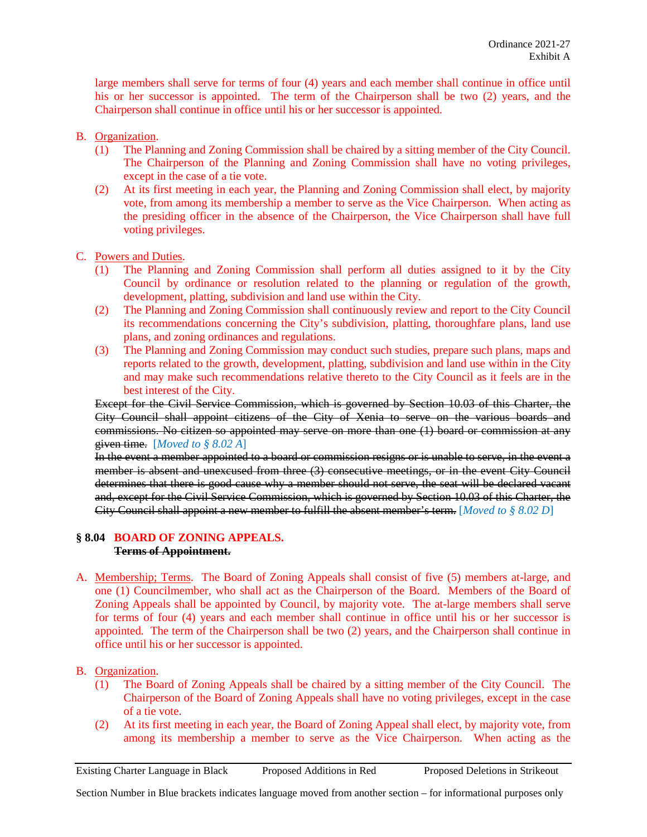large members shall serve for terms of four (4) years and each member shall continue in office until his or her successor is appointed. The term of the Chairperson shall be two (2) years, and the Chairperson shall continue in office until his or her successor is appointed.

- B. Organization.
	- (1) The Planning and Zoning Commission shall be chaired by a sitting member of the City Council. The Chairperson of the Planning and Zoning Commission shall have no voting privileges, except in the case of a tie vote.
	- (2) At its first meeting in each year, the Planning and Zoning Commission shall elect, by majority vote, from among its membership a member to serve as the Vice Chairperson. When acting as the presiding officer in the absence of the Chairperson, the Vice Chairperson shall have full voting privileges.
- C. Powers and Duties.
	- (1) The Planning and Zoning Commission shall perform all duties assigned to it by the City Council by ordinance or resolution related to the planning or regulation of the growth, development, platting, subdivision and land use within the City.
	- (2) The Planning and Zoning Commission shall continuously review and report to the City Council its recommendations concerning the City's subdivision, platting, thoroughfare plans, land use plans, and zoning ordinances and regulations.
	- (3) The Planning and Zoning Commission may conduct such studies, prepare such plans, maps and reports related to the growth, development, platting, subdivision and land use within in the City and may make such recommendations relative thereto to the City Council as it feels are in the best interest of the City.

Except for the Civil Service Commission, which is governed by Section 10.03 of this Charter, the City Council shall appoint citizens of the City of Xenia to serve on the various boards and commissions. No citizen so appointed may serve on more than one (1) board or commission at any given time. [*Moved to § 8.02 A*]

In the event a member appointed to a board or commission resigns or is unable to serve, in the event a member is absent and unexcused from three (3) consecutive meetings, or in the event City Council determines that there is good cause why a member should not serve, the seat will be declared vacant and, except for the Civil Service Commission, which is governed by Section 10.03 of this Charter, the City Council shall appoint a new member to fulfill the absent member's term. [*Moved to § 8.02 D*]

## **§ 8.04 BOARD OF ZONING APPEALS. Terms of Appointment.**

- A. Membership; Terms. The Board of Zoning Appeals shall consist of five (5) members at-large, and one (1) Councilmember, who shall act as the Chairperson of the Board. Members of the Board of Zoning Appeals shall be appointed by Council, by majority vote. The at-large members shall serve for terms of four (4) years and each member shall continue in office until his or her successor is appointed. The term of the Chairperson shall be two (2) years, and the Chairperson shall continue in office until his or her successor is appointed.
- B. Organization.
	- (1) The Board of Zoning Appeals shall be chaired by a sitting member of the City Council. The Chairperson of the Board of Zoning Appeals shall have no voting privileges, except in the case of a tie vote.
	- (2) At its first meeting in each year, the Board of Zoning Appeal shall elect, by majority vote, from among its membership a member to serve as the Vice Chairperson. When acting as the

Existing Charter Language in Black Proposed Additions in Red Proposed Deletions in Strikeout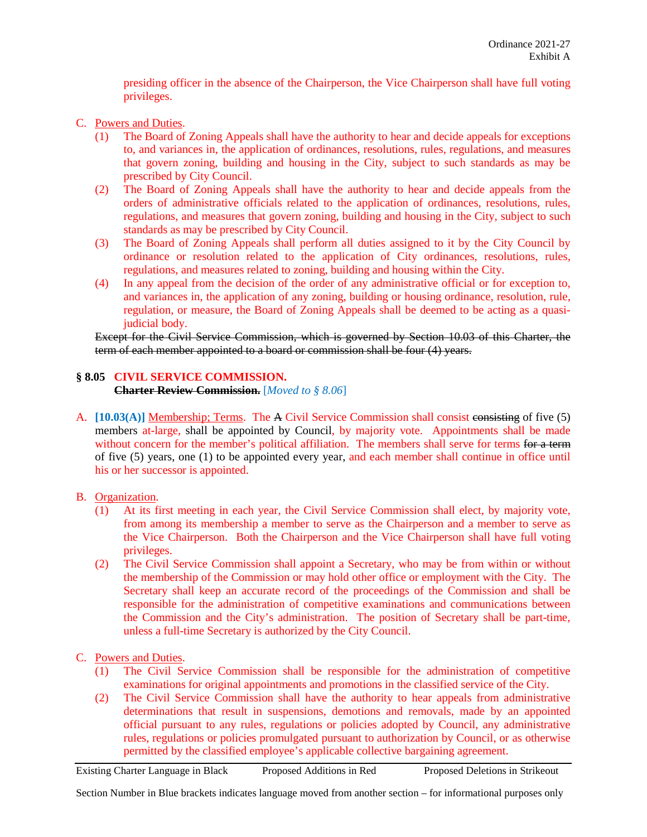presiding officer in the absence of the Chairperson, the Vice Chairperson shall have full voting privileges.

- C. Powers and Duties.
	- (1) The Board of Zoning Appeals shall have the authority to hear and decide appeals for exceptions to, and variances in, the application of ordinances, resolutions, rules, regulations, and measures that govern zoning, building and housing in the City, subject to such standards as may be prescribed by City Council.
	- (2) The Board of Zoning Appeals shall have the authority to hear and decide appeals from the orders of administrative officials related to the application of ordinances, resolutions, rules, regulations, and measures that govern zoning, building and housing in the City, subject to such standards as may be prescribed by City Council.
	- (3) The Board of Zoning Appeals shall perform all duties assigned to it by the City Council by ordinance or resolution related to the application of City ordinances, resolutions, rules, regulations, and measures related to zoning, building and housing within the City.
	- (4) In any appeal from the decision of the order of any administrative official or for exception to, and variances in, the application of any zoning, building or housing ordinance, resolution, rule, regulation, or measure, the Board of Zoning Appeals shall be deemed to be acting as a quasijudicial body.

Except for the Civil Service Commission, which is governed by Section 10.03 of this Charter, the term of each member appointed to a board or commission shall be four (4) years.

# **§ 8.05 CIVIL SERVICE COMMISSION.**

**Charter Review Commission.** [*Moved to § 8.06*]

- A. [10.03(A)] Membership; Terms. The A Civil Service Commission shall consist consisting of five (5) members at-large, shall be appointed by Council, by majority vote. Appointments shall be made without concern for the member's political affiliation. The members shall serve for terms for a term of five (5) years, one (1) to be appointed every year, and each member shall continue in office until his or her successor is appointed.
- B. Organization.
	- (1) At its first meeting in each year, the Civil Service Commission shall elect, by majority vote, from among its membership a member to serve as the Chairperson and a member to serve as the Vice Chairperson. Both the Chairperson and the Vice Chairperson shall have full voting privileges.
	- (2) The Civil Service Commission shall appoint a Secretary, who may be from within or without the membership of the Commission or may hold other office or employment with the City. The Secretary shall keep an accurate record of the proceedings of the Commission and shall be responsible for the administration of competitive examinations and communications between the Commission and the City's administration. The position of Secretary shall be part-time, unless a full-time Secretary is authorized by the City Council.
- C. Powers and Duties.
	- (1) The Civil Service Commission shall be responsible for the administration of competitive examinations for original appointments and promotions in the classified service of the City.
	- (2) The Civil Service Commission shall have the authority to hear appeals from administrative determinations that result in suspensions, demotions and removals, made by an appointed official pursuant to any rules, regulations or policies adopted by Council, any administrative rules, regulations or policies promulgated pursuant to authorization by Council, or as otherwise permitted by the classified employee's applicable collective bargaining agreement.

Existing Charter Language in Black Proposed Additions in Red Proposed Deletions in Strikeout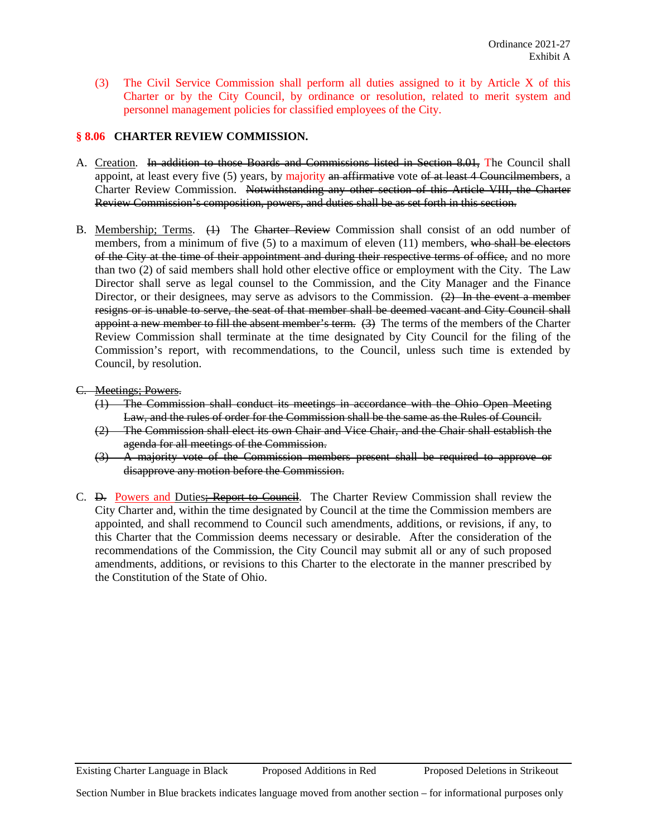(3) The Civil Service Commission shall perform all duties assigned to it by Article X of this Charter or by the City Council, by ordinance or resolution, related to merit system and personnel management policies for classified employees of the City.

## **§ 8.06 CHARTER REVIEW COMMISSION.**

- A. Creation. In addition to those Boards and Commissions listed in Section 8.01, The Council shall appoint, at least every five (5) years, by majority an affirmative vote of at least 4 Councilmembers, a Charter Review Commission. Notwithstanding any other section of this Article VIII, the Charter Review Commission's composition, powers, and duties shall be as set forth in this section.
- B. Membership; Terms. (1) The Charter Review Commission shall consist of an odd number of members, from a minimum of five  $(5)$  to a maximum of eleven  $(11)$  members, who shall be electors of the City at the time of their appointment and during their respective terms of office, and no more than two (2) of said members shall hold other elective office or employment with the City. The Law Director shall serve as legal counsel to the Commission, and the City Manager and the Finance Director, or their designees, may serve as advisors to the Commission. (2) In the event a member resigns or is unable to serve, the seat of that member shall be deemed vacant and City Council shall appoint a new member to fill the absent member's term. (3) The terms of the members of the Charter Review Commission shall terminate at the time designated by City Council for the filing of the Commission's report, with recommendations, to the Council, unless such time is extended by Council, by resolution.
- C. Meetings; Powers.
	- (1) The Commission shall conduct its meetings in accordance with the Ohio Open Meeting Law, and the rules of order for the Commission shall be the same as the Rules of Council.
	- (2) The Commission shall elect its own Chair and Vice Chair, and the Chair shall establish the agenda for all meetings of the Commission.
	- (3) A majority vote of the Commission members present shall be required to approve or disapprove any motion before the Commission.
- C. <del>D.</del> Powers and Duties; Report to Council. The Charter Review Commission shall review the City Charter and, within the time designated by Council at the time the Commission members are appointed, and shall recommend to Council such amendments, additions, or revisions, if any, to this Charter that the Commission deems necessary or desirable. After the consideration of the recommendations of the Commission, the City Council may submit all or any of such proposed amendments, additions, or revisions to this Charter to the electorate in the manner prescribed by the Constitution of the State of Ohio.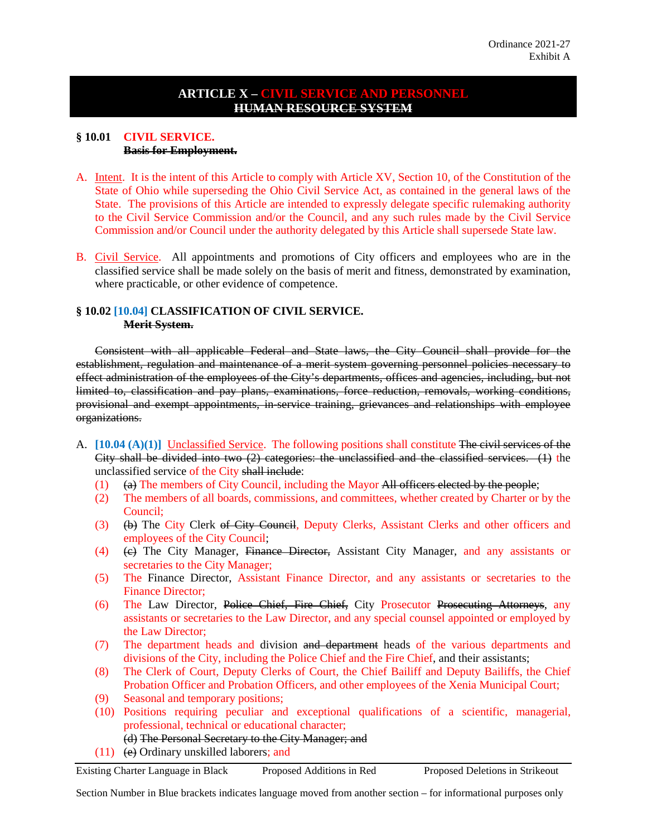# **ARTICLE X – CIVIL SERVICE AND PERSONNEL HUMAN RESOURCE SYSTEM**

#### **§ 10.01 CIVIL SERVICE. Basis for Employment.**

- A. Intent. It is the intent of this Article to comply with Article XV, Section 10, of the Constitution of the State of Ohio while superseding the Ohio Civil Service Act, as contained in the general laws of the State. The provisions of this Article are intended to expressly delegate specific rulemaking authority to the Civil Service Commission and/or the Council, and any such rules made by the Civil Service Commission and/or Council under the authority delegated by this Article shall supersede State law.
- B. Civil Service. All appointments and promotions of City officers and employees who are in the classified service shall be made solely on the basis of merit and fitness, demonstrated by examination, where practicable, or other evidence of competence.

## **§ 10.02 [10.04] CLASSIFICATION OF CIVIL SERVICE. Merit System.**

Consistent with all applicable Federal and State laws, the City Council shall provide for the establishment, regulation and maintenance of a merit system governing personnel policies necessary to effect administration of the employees of the City's departments, offices and agencies, including, but not limited to, classification and pay plans, examinations, force reduction, removals, working conditions, provisional and exempt appointments, in-service training, grievances and relationships with employee organizations.

- A. **[10.04 (A)(1)]** Unclassified Service. The following positions shall constitute The civil services of the City shall be divided into two (2) categories: the unclassified and the classified services. (1) the unclassified service of the City shall include:
	- (1)  $(a)$  The members of City Council, including the Mayor All officers elected by the people;
	- (2) The members of all boards, commissions, and committees, whether created by Charter or by the Council;
	- (3) (b) The City Clerk of City Council, Deputy Clerks, Assistant Clerks and other officers and employees of the City Council;
	- (4) (c) The City Manager, Finance Director, Assistant City Manager, and any assistants or secretaries to the City Manager;
	- (5) The Finance Director, Assistant Finance Director, and any assistants or secretaries to the Finance Director;
	- (6) The Law Director, Police Chief, Fire Chief, City Prosecutor Prosecuting Attorneys, any assistants or secretaries to the Law Director, and any special counsel appointed or employed by the Law Director;
	- (7) The department heads and division and department heads of the various departments and divisions of the City, including the Police Chief and the Fire Chief, and their assistants;
	- (8) The Clerk of Court, Deputy Clerks of Court, the Chief Bailiff and Deputy Bailiffs, the Chief Probation Officer and Probation Officers, and other employees of the Xenia Municipal Court;
	- (9) Seasonal and temporary positions;
	- (10) Positions requiring peculiar and exceptional qualifications of a scientific, managerial, professional, technical or educational character;
		- (d) The Personal Secretary to the City Manager; and
	- (11) (e) Ordinary unskilled laborers; and

Existing Charter Language in Black Proposed Additions in Red Proposed Deletions in Strikeout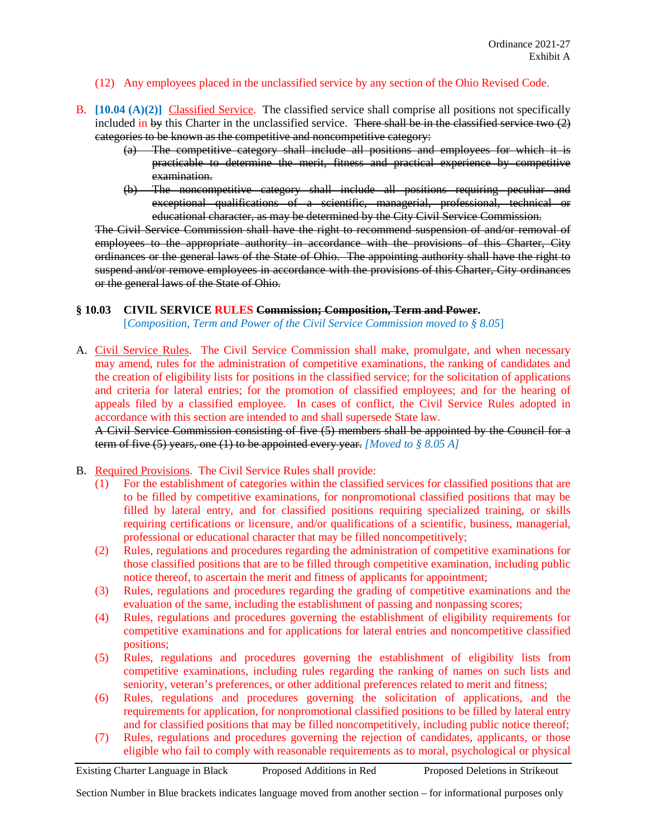#### (12) Any employees placed in the unclassified service by any section of the Ohio Revised Code.

- B. **[10.04 (A)(2)]** Classified Service. The classified service shall comprise all positions not specifically included in by this Charter in the unclassified service. There shall be in the classified service two  $(2)$ categories to be known as the competitive and noncompetitive category:
	- (a) The competitive category shall include all positions and employees for which it is practicable to determine the merit, fitness and practical experience by competitive examination.
	- (b) The noncompetitive category shall include all positions requiring peculiar and exceptional qualifications of a scientific, managerial, professional, technical or educational character, as may be determined by the City Civil Service Commission.

The Civil Service Commission shall have the right to recommend suspension of and/or removal of employees to the appropriate authority in accordance with the provisions of this Charter, City ordinances or the general laws of the State of Ohio. The appointing authority shall have the right to suspend and/or remove employees in accordance with the provisions of this Charter, City ordinances or the general laws of the State of Ohio.

#### **§ 10.03 CIVIL SERVICE RULES Commission; Composition, Term and Power.**

[*Composition, Term and Power of the Civil Service Commission moved to § 8.05*]

A. Civil Service Rules. The Civil Service Commission shall make, promulgate, and when necessary may amend, rules for the administration of competitive examinations, the ranking of candidates and the creation of eligibility lists for positions in the classified service; for the solicitation of applications and criteria for lateral entries; for the promotion of classified employees; and for the hearing of appeals filed by a classified employee. In cases of conflict, the Civil Service Rules adopted in accordance with this section are intended to and shall supersede State law.

A Civil Service Commission consisting of five (5) members shall be appointed by the Council for a term of five (5) years, one (1) to be appointed every year. *[Moved to § 8.05 A]*

- B. Required Provisions. The Civil Service Rules shall provide:
	- (1) For the establishment of categories within the classified services for classified positions that are to be filled by competitive examinations, for nonpromotional classified positions that may be filled by lateral entry, and for classified positions requiring specialized training, or skills requiring certifications or licensure, and/or qualifications of a scientific, business, managerial, professional or educational character that may be filled noncompetitively;
	- (2) Rules, regulations and procedures regarding the administration of competitive examinations for those classified positions that are to be filled through competitive examination, including public notice thereof, to ascertain the merit and fitness of applicants for appointment;
	- (3) Rules, regulations and procedures regarding the grading of competitive examinations and the evaluation of the same, including the establishment of passing and nonpassing scores;
	- (4) Rules, regulations and procedures governing the establishment of eligibility requirements for competitive examinations and for applications for lateral entries and noncompetitive classified positions;
	- (5) Rules, regulations and procedures governing the establishment of eligibility lists from competitive examinations, including rules regarding the ranking of names on such lists and seniority, veteran's preferences, or other additional preferences related to merit and fitness;
	- (6) Rules, regulations and procedures governing the solicitation of applications, and the requirements for application, for nonpromotional classified positions to be filled by lateral entry and for classified positions that may be filled noncompetitively, including public notice thereof;
	- (7) Rules, regulations and procedures governing the rejection of candidates, applicants, or those eligible who fail to comply with reasonable requirements as to moral, psychological or physical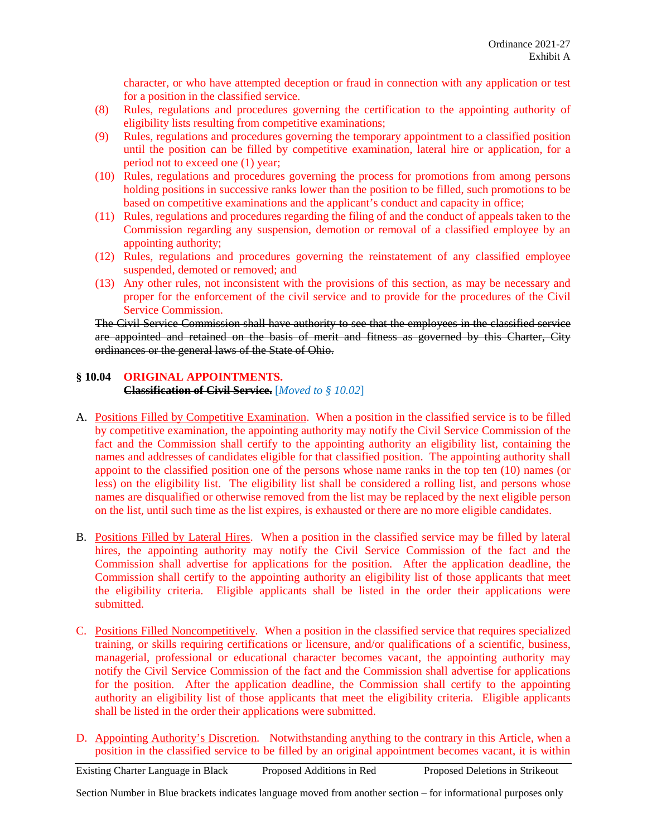character, or who have attempted deception or fraud in connection with any application or test for a position in the classified service.

- (8) Rules, regulations and procedures governing the certification to the appointing authority of eligibility lists resulting from competitive examinations;
- (9) Rules, regulations and procedures governing the temporary appointment to a classified position until the position can be filled by competitive examination, lateral hire or application, for a period not to exceed one (1) year;
- (10) Rules, regulations and procedures governing the process for promotions from among persons holding positions in successive ranks lower than the position to be filled, such promotions to be based on competitive examinations and the applicant's conduct and capacity in office;
- (11) Rules, regulations and procedures regarding the filing of and the conduct of appeals taken to the Commission regarding any suspension, demotion or removal of a classified employee by an appointing authority;
- (12) Rules, regulations and procedures governing the reinstatement of any classified employee suspended, demoted or removed; and
- (13) Any other rules, not inconsistent with the provisions of this section, as may be necessary and proper for the enforcement of the civil service and to provide for the procedures of the Civil Service Commission.

The Civil Service Commission shall have authority to see that the employees in the classified service are appointed and retained on the basis of merit and fitness as governed by this Charter, City ordinances or the general laws of the State of Ohio.

## **§ 10.04 ORIGINAL APPOINTMENTS. Classification of Civil Service.** [*Moved to § 10.02*]

- A. Positions Filled by Competitive Examination. When a position in the classified service is to be filled by competitive examination, the appointing authority may notify the Civil Service Commission of the fact and the Commission shall certify to the appointing authority an eligibility list, containing the names and addresses of candidates eligible for that classified position. The appointing authority shall appoint to the classified position one of the persons whose name ranks in the top ten (10) names (or less) on the eligibility list. The eligibility list shall be considered a rolling list, and persons whose names are disqualified or otherwise removed from the list may be replaced by the next eligible person on the list, until such time as the list expires, is exhausted or there are no more eligible candidates.
- B. Positions Filled by Lateral Hires. When a position in the classified service may be filled by lateral hires, the appointing authority may notify the Civil Service Commission of the fact and the Commission shall advertise for applications for the position. After the application deadline, the Commission shall certify to the appointing authority an eligibility list of those applicants that meet the eligibility criteria. Eligible applicants shall be listed in the order their applications were submitted.
- C. Positions Filled Noncompetitively. When a position in the classified service that requires specialized training, or skills requiring certifications or licensure, and/or qualifications of a scientific, business, managerial, professional or educational character becomes vacant, the appointing authority may notify the Civil Service Commission of the fact and the Commission shall advertise for applications for the position. After the application deadline, the Commission shall certify to the appointing authority an eligibility list of those applicants that meet the eligibility criteria. Eligible applicants shall be listed in the order their applications were submitted.
- D. Appointing Authority's Discretion. Notwithstanding anything to the contrary in this Article, when a position in the classified service to be filled by an original appointment becomes vacant, it is within

Existing Charter Language in Black Proposed Additions in Red Proposed Deletions in Strikeout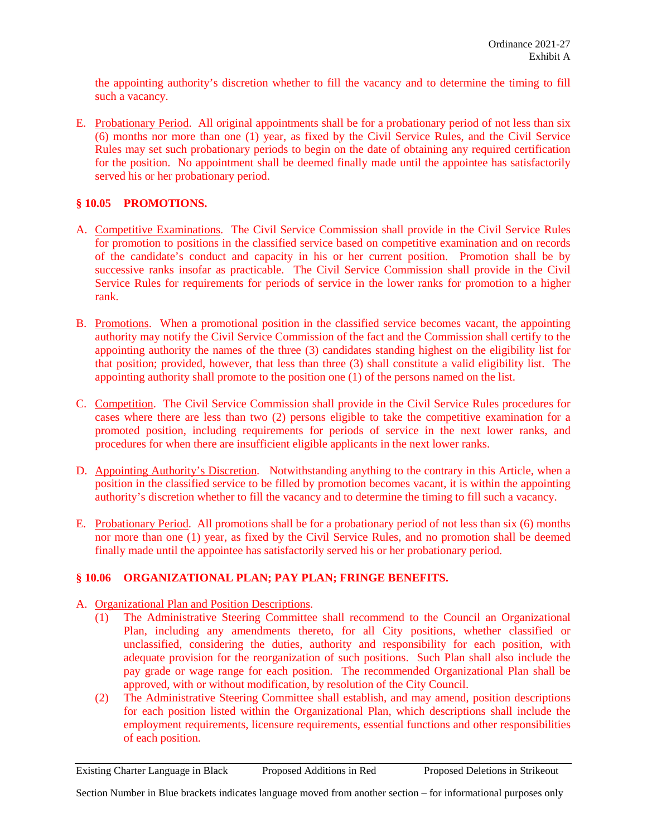the appointing authority's discretion whether to fill the vacancy and to determine the timing to fill such a vacancy.

E. Probationary Period. All original appointments shall be for a probationary period of not less than six (6) months nor more than one (1) year, as fixed by the Civil Service Rules, and the Civil Service Rules may set such probationary periods to begin on the date of obtaining any required certification for the position. No appointment shall be deemed finally made until the appointee has satisfactorily served his or her probationary period.

# **§ 10.05 PROMOTIONS.**

- A. Competitive Examinations. The Civil Service Commission shall provide in the Civil Service Rules for promotion to positions in the classified service based on competitive examination and on records of the candidate's conduct and capacity in his or her current position. Promotion shall be by successive ranks insofar as practicable. The Civil Service Commission shall provide in the Civil Service Rules for requirements for periods of service in the lower ranks for promotion to a higher rank.
- B. Promotions. When a promotional position in the classified service becomes vacant, the appointing authority may notify the Civil Service Commission of the fact and the Commission shall certify to the appointing authority the names of the three (3) candidates standing highest on the eligibility list for that position; provided, however, that less than three (3) shall constitute a valid eligibility list. The appointing authority shall promote to the position one (1) of the persons named on the list.
- C. Competition. The Civil Service Commission shall provide in the Civil Service Rules procedures for cases where there are less than two (2) persons eligible to take the competitive examination for a promoted position, including requirements for periods of service in the next lower ranks, and procedures for when there are insufficient eligible applicants in the next lower ranks.
- D. Appointing Authority's Discretion. Notwithstanding anything to the contrary in this Article, when a position in the classified service to be filled by promotion becomes vacant, it is within the appointing authority's discretion whether to fill the vacancy and to determine the timing to fill such a vacancy.
- E. Probationary Period. All promotions shall be for a probationary period of not less than six (6) months nor more than one (1) year, as fixed by the Civil Service Rules, and no promotion shall be deemed finally made until the appointee has satisfactorily served his or her probationary period.

# **§ 10.06 ORGANIZATIONAL PLAN; PAY PLAN; FRINGE BENEFITS.**

- A. Organizational Plan and Position Descriptions.
	- (1) The Administrative Steering Committee shall recommend to the Council an Organizational Plan, including any amendments thereto, for all City positions, whether classified or unclassified, considering the duties, authority and responsibility for each position, with adequate provision for the reorganization of such positions. Such Plan shall also include the pay grade or wage range for each position. The recommended Organizational Plan shall be approved, with or without modification, by resolution of the City Council.
	- (2) The Administrative Steering Committee shall establish, and may amend, position descriptions for each position listed within the Organizational Plan, which descriptions shall include the employment requirements, licensure requirements, essential functions and other responsibilities of each position.

Existing Charter Language in Black Proposed Additions in Red Proposed Deletions in Strikeout